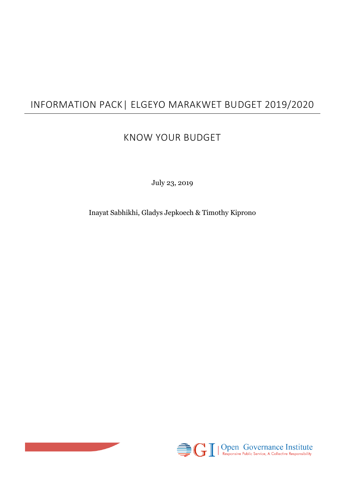# INFORMATION PACK| ELGEYO MARAKWET BUDGET 2019/2020

## KNOW YOUR BUDGET

July 23, 2019

Inayat Sabhikhi, Gladys Jepkoech & Timothy Kiprono



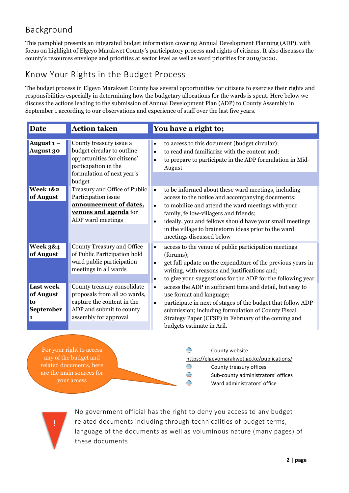### Background

This pamphlet presents an integrated budget information covering Annual Development Planning (ADP), with focus on highlight of Elgeyo Marakwet County's participatory process and rights of citizens. It also discusses the county's resources envelope and priorities at sector level as well as ward priorities for 2019/2020.

#### Know Your Rights in the Budget Process

The budget process in Elgeyo Marakwet County has several opportunities for citizens to exercise their rights and responsibilities especially in determining how the budgetary allocations for the wards is spent. Here below we discuss the actions leading to the submission of Annual Development Plan (ADP) to County Assembly in September 1 according to our observations and experience of staff over the last five years.

| <b>Date</b>                                           | <b>Action taken</b>                                                                                                                                  | You have a right to;                                                                                                                                                                                                                                                                                                                                                             |
|-------------------------------------------------------|------------------------------------------------------------------------------------------------------------------------------------------------------|----------------------------------------------------------------------------------------------------------------------------------------------------------------------------------------------------------------------------------------------------------------------------------------------------------------------------------------------------------------------------------|
| August $1 -$<br><b>August 30</b>                      | County treasury issue a<br>budget circular to outline<br>opportunities for citizens'<br>participation in the<br>formulation of next year's<br>budget | to access to this document (budget circular);<br>to read and familiarize with the content and;<br>$\bullet$<br>to prepare to participate in the ADP formulation in Mid-<br>$\bullet$<br>August                                                                                                                                                                                   |
| <b>Week 1&amp;2</b><br>of August                      | Treasury and Office of Public<br>Participation issue<br>announcement of dates.<br>venues and agenda for<br>ADP ward meetings                         | to be informed about these ward meetings, including<br>$\bullet$<br>access to the notice and accompanying documents;<br>to mobilize and attend the ward meetings with your<br>$\bullet$<br>family, fellow-villagers and friends;<br>ideally, you and fellows should have your small meetings<br>in the village to brainstorm ideas prior to the ward<br>meetings discussed below |
| <b>Week 3&amp;4</b><br>of August                      | <b>County Treasury and Office</b><br>of Public Participation hold<br>ward public participation<br>meetings in all wards                              | access to the venue of public participation meetings<br>$\bullet$<br>(forums);<br>get full update on the expenditure of the previous years in<br>writing, with reasons and justifications and;<br>to give your suggestions for the ADP for the following year.                                                                                                                   |
| <b>Last week</b><br>of August<br>to<br>September<br>1 | County treasury consolidate<br>proposals from all 20 wards,<br>capture the content in the<br>ADP and submit to county<br>assembly for approval       | access the ADP in sufficient time and detail, but easy to<br>use format and language;<br>participate in next of stages of the budget that follow ADP<br>$\bullet$<br>submission; including formulation of County Fiscal<br>Strategy Paper (CFSP) in February of the coming and<br>budgets estimate in Aril.                                                                      |

For your right to access any of the budget and related documents, here are the main sources for your access

€ County website <https://elgeyomarakwet.go.ke/publications/> € County treasury offices € Sub-county administrators' offices € Ward administrators' office

No government official has the right to deny you access to any budget related documents including through technicalities of budget terms, language of the documents as well as voluminous nature (many pages) of these documents.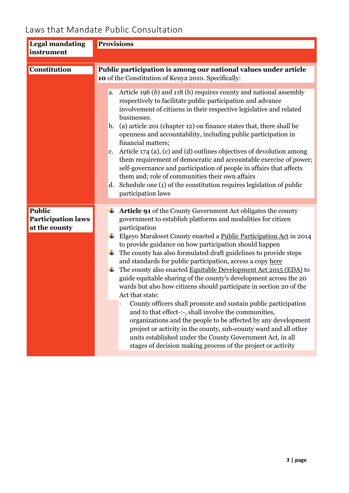## Laws that Mandate Public Consultation

| <b>Legal mandating</b>                                      | <b>Provisions</b>                                                                                                                                                                                                                                                                                                                                                                                                                                                                                                                                                                                                                                                                                                                                                                                                                                                                                                                                                                                                                                     |
|-------------------------------------------------------------|-------------------------------------------------------------------------------------------------------------------------------------------------------------------------------------------------------------------------------------------------------------------------------------------------------------------------------------------------------------------------------------------------------------------------------------------------------------------------------------------------------------------------------------------------------------------------------------------------------------------------------------------------------------------------------------------------------------------------------------------------------------------------------------------------------------------------------------------------------------------------------------------------------------------------------------------------------------------------------------------------------------------------------------------------------|
| instrument                                                  |                                                                                                                                                                                                                                                                                                                                                                                                                                                                                                                                                                                                                                                                                                                                                                                                                                                                                                                                                                                                                                                       |
| <b>Constitution</b>                                         | Public participation is among our national values under article<br>10 of the Constitution of Kenya 2010. Specifically:                                                                                                                                                                                                                                                                                                                                                                                                                                                                                                                                                                                                                                                                                                                                                                                                                                                                                                                                |
|                                                             | Article 196 $(b)$ and 118 $(b)$ requires county and national assembly<br>a.<br>respectively to facilitate public participation and advance<br>involvement of citizens in their respective legislative and related<br>businesses.<br>(a) article 201 (chapter 12) on finance states that, there shall be<br>b.<br>openness and accountability, including public participation in<br>financial matters;<br>c. Article $174$ (a), (c) and (d) outlines objectives of devolution among<br>them requirement of democratic and accountable exercise of power;<br>self-governance and participation of people in affairs that affects<br>them and; role of communities their own affairs<br>Schedule one (1) of the constitution requires legislation of public<br>d.<br>participation laws                                                                                                                                                                                                                                                                  |
| <b>Public</b><br><b>Participation laws</b><br>at the county | <b>Article 91</b> of the County Government Act obligates the county<br>government to establish platforms and modalities for citizen<br>participation<br>Elgeyo Marakwet County enacted a Public Participation Act in 2014<br>to provide guidance on how participation should happen<br>The county has also formulated draft guidelines to provide steps<br>and standards for public participation, access a copy here<br>The county also enacted Equitable Development Act 2015 (EDA) to<br>guide equitable sharing of the county's development across the 20<br>wards but also how citizens should participate in section 20 of the<br>Act that state:<br>County officers shall promote and sustain public participation<br>and to that effect-:-, shall involve the communities,<br>organizations and the people to be affected by any development<br>project or activity in the county, sub-county ward and all other<br>units established under the County Government Act, in all<br>stages of decision making process of the project or activity |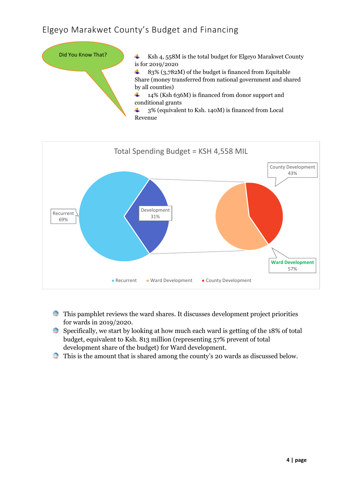#### Elgeyo Marakwet County's Budget and Financing





- $\implies$  This pamphlet reviews the ward shares. It discusses development project priorities for wards in 2019/2020.
- Specifically, we start by looking at how much each ward is getting of the 18% of total budget, equivalent to Ksh. 813 million (representing 57% prevent of total development share of the budget) for Ward development.
- $\Rightarrow$  This is the amount that is shared among the county's 20 wards as discussed below.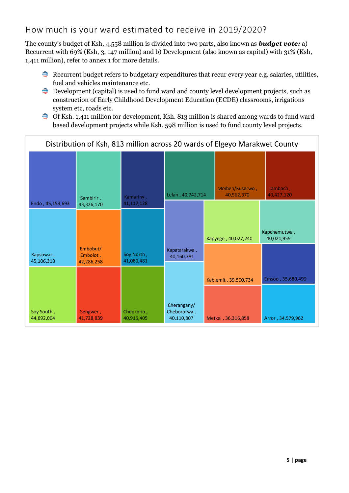#### How much is your ward estimated to receive in 2019/2020?

The county's budget of Ksh, 4,558 million is divided into two parts, also known as *budget vote:* a) Recurrent with 69% (Ksh, 3, 147 million) and b) Development (also known as capital) with 31% (Ksh, 1,411 million), refer to annex 1 for more details.

- **Recurrent budget refers to budgetary expenditures that recur every year e.g. salaries, utilities,** fuel and vehicles maintenance etc.
- $\implies$  Development (capital) is used to fund ward and county level development projects, such as construction of Early Childhood Development Education (ECDE) classrooms, irrigations system etc, roads etc.
- <del>●</del> Of Ksh. 1,411 million for development, Ksh. 813 million is shared among wards to fund wardbased development projects while Ksh. 598 million is used to fund county level projects.

| Distribution of Ksh, 813 million across 20 wards of Elgeyo Marakwet County |                                    |                          |                                          |  |                               |                            |
|----------------------------------------------------------------------------|------------------------------------|--------------------------|------------------------------------------|--|-------------------------------|----------------------------|
|                                                                            | Sambirir,                          | Kamariny,                | Lelan, 40, 742, 714                      |  | Moiben/Kuserwo,<br>40,562,370 | Tambach,<br>40,427,120     |
| Endo, 45,153,693                                                           | 43,326,170                         | 41,117,128               |                                          |  |                               |                            |
| Kapsowar,<br>45,106,310                                                    | Embobut/<br>Embolot,<br>42,286,258 | Soy North,<br>41,080,481 | Kapatarakwa,<br>40,160,781               |  | Kapyego, 40,027,240           | Kapchemutwa,<br>40,021,959 |
|                                                                            |                                    |                          |                                          |  | Kabiemit, 39,500,734          | Emsoo, 35,680,499          |
| Soy South,<br>44,692,004                                                   | Sengwer,<br>41,728,839             | Chepkorio,<br>40,915,405 | Cherangany/<br>Chebororwa,<br>40,110,807 |  | Metkei, 36,316,858            | Arror, 34,579,962          |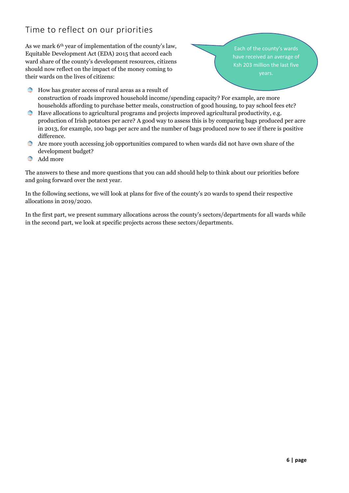#### Time to reflect on our priorities

As we mark 6th year of implementation of the county's law, Equitable Development Act (EDA) 2015 that accord each ward share of the county's development resources, citizens should now reflect on the impact of the money coming to their wards on the lives of citizens:

Each of the county's wards have received an average of Ksh 203 million the last five

- **How has greater access of rural areas as a result of** construction of roads improved household income/spending capacity? For example, are more households affording to purchase better meals, construction of good housing, to pay school fees etc?
- € Have allocations to agricultural programs and projects improved agricultural productivity, e.g. production of Irish potatoes per acre? A good way to assess this is by comparing bags produced per acre in 2013, for example, 100 bags per acre and the number of bags produced now to see if there is positive difference.
- Are more youth accessing job opportunities compared to when wards did not have own share of the development budget?
- Add more

The answers to these and more questions that you can add should help to think about our priorities before and going forward over the next year.

In the following sections, we will look at plans for five of the county's 20 wards to spend their respective allocations in 2019/2020.

In the first part, we present summary allocations across the county's sectors/departments for all wards while in the second part, we look at specific projects across these sectors/departments.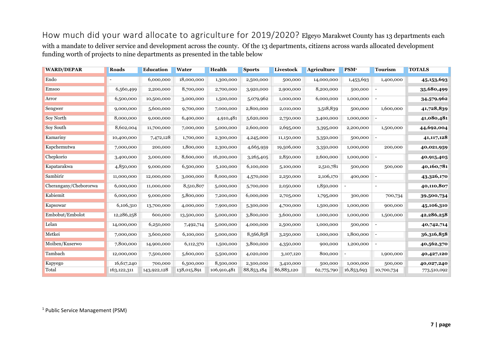How much did your ward allocate to agriculture for 2019/2020? Elgeyo Marakwet County has 13 departments each with a mandate to deliver service and development across the county. Of the 13 departments, citizens across wards allocated development funding worth of projects to nine departments as presented in the table below

| <b>WARD/DEPAR</b>     | Roads       | <b>Education</b> | Water       | Health      | <b>Sports</b> | Livestock  | <b>Agriculture</b> | PSM <sup>1</sup> | <b>Tourism</b>           | <b>TOTALS</b> |
|-----------------------|-------------|------------------|-------------|-------------|---------------|------------|--------------------|------------------|--------------------------|---------------|
| Endo                  |             | 6,000,000        | 18,000,000  | 1,300,000   | 2,500,000     | 500,000    | 14,000,000         | 1,453,693        | 1,400,000                | 45, 153, 693  |
| Emsoo                 | 6,560,499   | 2,200,000        | 8,700,000   | 2,700,000   | 3,920,000     | 2,900,000  | 8,200,000          | 500,000          | $\overline{\phantom{a}}$ | 35,680,499    |
| Arror                 | 6,500,000   | 10,500,000       | 3,000,000   | 1,500,000   | 5,079,962     | 1,000,000  | 6,000,000          | 1,000,000        | $\overline{\phantom{a}}$ | 34,579,962    |
| Sengwer               | 9,000,000   | 5,600,000        | 9,700,000   | 7,000,000   | 2,800,000     | 2,010,000  | 3,518,839          | 500,000          | 1,600,000                | 41,728,839    |
| Soy North             | 8,000,000   | 9,000,000        | 6,400,000   | 4,910,481   | 5,620,000     | 2,750,000  | 3,400,000          | 1,000,000        |                          | 41,080,481    |
| Soy South             | 8,602,004   | 11,700,000       | 7,000,000   | 5,000,000   | 2,600,000     | 2,695,000  | 3,395,000          | 2,200,000        | 1,500,000                | 44,692,004    |
| Kamariny              | 10,400,000  | 7,472,128        | 1,700,000   | 2,300,000   | 4,245,000     | 11,150,000 | 3,350,000          | 500,000          |                          | 41, 117, 128  |
| Kapchemutwa           | 7,000,000   | 200,000          | 1,800,000   | 2,300,000   | 4,665,959     | 19,506,000 | 3,350,000          | 1,000,000        | 200,000                  | 40,021,959    |
| Chepkorio             | 3,400,000   | 3,000,000        | 8,600,000   | 16,200,000  | 3,265,405     | 2,850,000  | 2,600,000          | 1,000,000        | $\overline{a}$           | 40,915,405    |
| Kapatarakwa           | 4,850,000   | 9,000,000        | 6,500,000   | 5,100,000   | 6,100,000     | 5,100,000  | 2,510,781          | 500,000          | 500,000                  | 40,160,781    |
| Sambirir              | 11,000,000  | 12,000,000       | 3,000,000   | 8,000,000   | 4,570,000     | 2,250,000  | 2,106,170          | 400,000          | $\overline{\phantom{a}}$ | 43,326,170    |
| Cherangany/Chebororwa | 6,000,000   | 11,000,000       | 8,510,807   | 5,000,000   | 5,700,000     | 2,050,000  | 1,850,000          |                  | $\overline{\phantom{a}}$ | 40,110,807    |
| Kabiemit              | 6,000,000   | 9,000,000        | 5,800,000   | 7,200,000   | 6,000,000     | 2,705,000  | 1,795,000          | 300,000          | 700,734                  | 39,500,734    |
| Kapsowar              | 6,106,310   | 13,700,000       | 4,000,000   | 7,900,000   | 5,300,000     | 4,700,000  | 1,500,000          | 1,000,000        | 900,000                  | 45,106,310    |
| Embobut/Embolot       | 12,286,258  | 600,000          | 13,500,000  | 5,000,000   | 3,800,000     | 3,600,000  | 1,000,000          | 1,000,000        | 1,500,000                | 42,286,258    |
| Lelan                 | 14,000,000  | 6,250,000        | 7,492,714   | 5,000,000   | 4,000,000     | 2,500,000  | 1,000,000          | 500,000          |                          | 40,742,714    |
| Metkei                | 7,000,000   | 3,600,000        | 6,100,000   | 5,000,000   | 8,566,858     | 3,250,000  | 1,000,000          | 1,800,000        |                          | 36,316,858    |
| Moiben/Kuserwo        | 7,800,000   | 14,900,000       | 6,112,370   | 1,500,000   | 3,800,000     | 4,350,000  | 900,000            | 1,200,000        | $\overline{\phantom{a}}$ | 40,562,370    |
| Tambach               | 12,000,000  | 7,500,000        | 5,600,000   | 5,500,000   | 4,020,000     | 3,107,120  | 800,000            |                  | 1,900,000                | 40,427,120    |
| Kapyego               | 16,617,240  | 700,000          | 6,500,000   | 8,500,000   | 2,300,000     | 3,410,000  | 500,000            | 1,000,000        | 500,000                  | 40,027,240    |
| Total                 | 163,122,311 | 143,922,128      | 138,015,891 | 106,910,481 | 88, 853, 184  | 86,883,120 | 62,775,790         | 16,853,693       | 10,700,734               | 773,510,092   |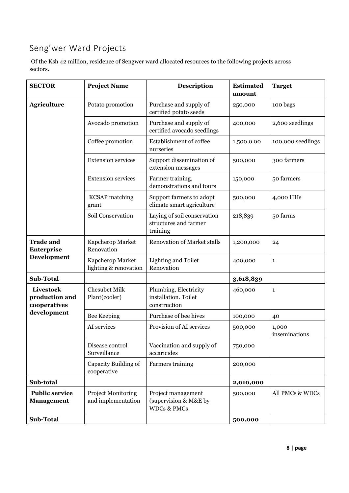## Seng'wer Ward Projects

Of the Ksh 42 million, residence of Sengwer ward allocated resources to the following projects across sectors.

| <b>SECTOR</b>                                 | <b>Project Name</b>                             | <b>Description</b>                                                    | <b>Estimated</b><br>amount | <b>Target</b>          |
|-----------------------------------------------|-------------------------------------------------|-----------------------------------------------------------------------|----------------------------|------------------------|
| <b>Agriculture</b>                            | Potato promotion                                | Purchase and supply of<br>certified potato seeds                      | 250,000                    | 100 bags               |
|                                               | Avocado promotion                               | Purchase and supply of<br>certified avocado seedlings                 | 400,000                    | 2,600 seedlings        |
|                                               | Coffee promotion                                | Establishment of coffee<br>nurseries                                  | 1,500,000                  | 100,000 seedlings      |
|                                               | <b>Extension services</b>                       | Support dissemination of<br>extension messages                        | 500,000                    | 300 farmers            |
|                                               | <b>Extension services</b>                       | Farmer training,<br>demonstrations and tours                          | 150,000                    | 50 farmers             |
|                                               | <b>KCSAP</b> matching<br>grant                  | Support farmers to adopt<br>climate smart agriculture                 | 500,000                    | 4,000 HHs              |
|                                               | Soil Conservation                               | Laying of soil conservation<br>structures and farmer<br>training      | 218,839                    | 50 farms               |
| <b>Trade and</b><br>Enterprise<br>Development | Kapcherop Market<br>Renovation                  | <b>Renovation of Market stalls</b>                                    | 1,200,000                  | 24                     |
|                                               | Kapcherop Market<br>lighting & renovation       | Lighting and Toilet<br>Renovation                                     | 400,000                    | $\mathbf{1}$           |
| <b>Sub-Total</b>                              |                                                 |                                                                       | 3,618,839                  |                        |
| Livestock<br>production and<br>cooperatives   | <b>Chesubet Milk</b><br>Plant(cooler)           | Plumbing, Electricity<br>installation. Toilet<br>construction         | 460,000                    | 1                      |
| development                                   | Bee Keeping                                     | Purchase of bee hives                                                 | 100,000                    | 40                     |
|                                               | AI services                                     | Provision of AI services                                              | 500,000                    | 1,000<br>inseminations |
|                                               | Disease control<br>Surveillance                 | Vaccination and supply of<br>accaricides                              | 750,000                    |                        |
|                                               | Capacity Building of<br>cooperative             | Farmers training                                                      | 200,000                    |                        |
| Sub-total                                     |                                                 |                                                                       | 2,010,000                  |                        |
| <b>Public service</b><br><b>Management</b>    | <b>Project Monitoring</b><br>and implementation | Project management<br>(supervision & M&E by<br><b>WDCs &amp; PMCs</b> | 500,000                    | All PMCs & WDCs        |
| Sub-Total                                     |                                                 |                                                                       | 500,000                    |                        |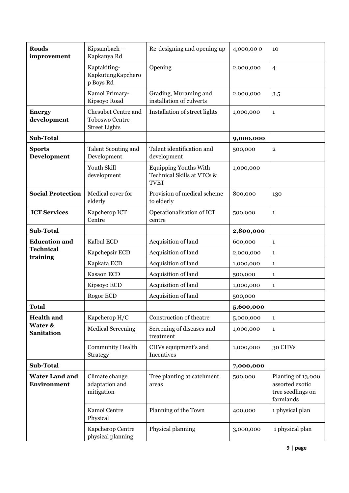| <b>Roads</b><br>improvement          | Kipsambach -<br>Kapkanya Rd                                          | Re-designing and opening up                                               | 4,000,000 | 10                                                                      |
|--------------------------------------|----------------------------------------------------------------------|---------------------------------------------------------------------------|-----------|-------------------------------------------------------------------------|
|                                      | Kaptakiting-<br>KapkutungKapchero<br>p Boys Rd                       | Opening                                                                   | 2,000,000 | $\overline{4}$                                                          |
|                                      | Kamoi Primary-<br>Kipsoyo Road                                       | Grading, Muraming and<br>installation of culverts                         | 2,000,000 | 3.5                                                                     |
| <b>Energy</b><br>development         | Chesubet Centre and<br><b>Toboswo Centre</b><br><b>Street Lights</b> | Installation of street lights                                             | 1,000,000 | $\mathbf{1}$                                                            |
| Sub-Total                            |                                                                      |                                                                           | 9,000,000 |                                                                         |
| <b>Sports</b><br>Development         | Talent Scouting and<br>Development                                   | Talent identification and<br>development                                  | 500,000   | $\overline{2}$                                                          |
|                                      | Youth Skill<br>development                                           | <b>Equipping Youths With</b><br>Technical Skills at VTCs &<br><b>TVET</b> | 1,000,000 |                                                                         |
| <b>Social Protection</b>             | Medical cover for<br>elderly                                         | Provision of medical scheme<br>to elderly                                 | 800,000   | 130                                                                     |
| <b>ICT Services</b>                  | Kapcherop ICT<br>Centre                                              | Operationalisation of ICT<br>centre                                       | 500,000   | $\mathbf{1}$                                                            |
| Sub-Total                            |                                                                      |                                                                           | 2,800,000 |                                                                         |
| <b>Education and</b>                 | Kalbul ECD                                                           | Acquisition of land                                                       | 600,000   | $\mathbf{1}$                                                            |
| <b>Technical</b><br>training         | Kapchepsir ECD                                                       | Acquisition of land                                                       | 2,000,000 | $\mathbf{1}$                                                            |
|                                      | Kapkata ECD                                                          | Acquisition of land                                                       | 1,000,000 | $\mathbf{1}$                                                            |
|                                      | Kasaon ECD                                                           | Acquisition of land                                                       | 500,000   | $\mathbf{1}$                                                            |
|                                      |                                                                      |                                                                           |           |                                                                         |
|                                      | Kipsoyo ECD                                                          | Acquisition of land                                                       | 1,000,000 | $\mathbf{1}$                                                            |
|                                      | Rogor ECD                                                            | Acquisition of land                                                       | 500,000   |                                                                         |
| Total                                |                                                                      |                                                                           | 5,600,000 |                                                                         |
| <b>Health and</b>                    | Kapcherop H/C                                                        | Construction of theatre                                                   | 5,000,000 | $\mathbf{1}$                                                            |
| Water &<br><b>Sanitation</b>         | <b>Medical Screening</b>                                             | Screening of diseases and<br>treatment                                    | 1,000,000 | $\mathbf{1}$                                                            |
|                                      | <b>Community Health</b><br>Strategy                                  | CHVs equipment's and<br>Incentives                                        | 1,000,000 | 30 CHVs                                                                 |
| Sub-Total                            |                                                                      |                                                                           | 7,000,000 |                                                                         |
| <b>Water Land and</b><br>Environment | Climate change<br>adaptation and<br>mitigation                       | Tree planting at catchment<br>areas                                       | 500,000   | Planting of 13,000<br>assorted exotic<br>tree seedlings on<br>farmlands |
|                                      | Kamoi Centre<br>Physical                                             | Planning of the Town                                                      | 400,000   | 1 physical plan                                                         |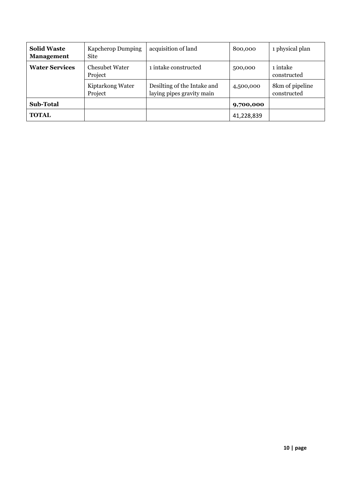| <b>Solid Waste</b><br><b>Management</b> | <b>Kapcherop Dumping</b><br><b>Site</b> | acquisition of land                                      | 800,000    | 1 physical plan                |
|-----------------------------------------|-----------------------------------------|----------------------------------------------------------|------------|--------------------------------|
| <b>Water Services</b>                   | <b>Chesubet Water</b><br>Project        | 1 intake constructed                                     | 500,000    | 1 intake<br>constructed        |
|                                         | Kiptarkong Water<br>Project             | Desilting of the Intake and<br>laying pipes gravity main | 4,500,000  | 8km of pipeline<br>constructed |
| <b>Sub-Total</b>                        |                                         |                                                          | 9,700,000  |                                |
| <b>TOTAL</b>                            |                                         |                                                          | 41,228,839 |                                |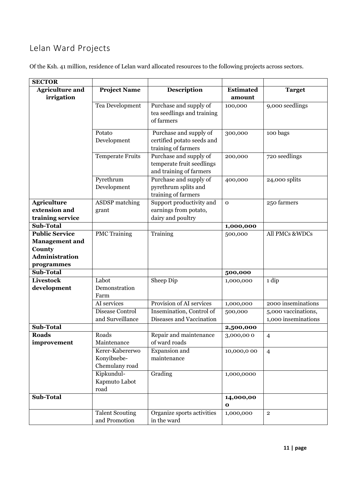### Lelan Ward Projects

| <b>SECTOR</b>          |                                         |                                                                                |                      |                     |
|------------------------|-----------------------------------------|--------------------------------------------------------------------------------|----------------------|---------------------|
| <b>Agriculture and</b> | <b>Project Name</b>                     | <b>Description</b>                                                             | <b>Estimated</b>     | <b>Target</b>       |
| irrigation             |                                         |                                                                                | amount               |                     |
|                        | Tea Development                         | Purchase and supply of                                                         | 100,000              | 9,000 seedlings     |
|                        |                                         | tea seedlings and training<br>of farmers                                       |                      |                     |
|                        | Potato                                  | Purchase and supply of                                                         | 300,000              | 100 bags            |
|                        | Development                             | certified potato seeds and<br>training of farmers                              |                      |                     |
|                        | <b>Temperate Fruits</b>                 | Purchase and supply of<br>temperate fruit seedlings<br>and training of farmers | 200,000              | 720 seedlings       |
|                        | Pyrethrum<br>Development                | Purchase and supply of<br>pyrethrum splits and<br>training of farmers          | 400,000              | 24,000 splits       |
| <b>Agriculture</b>     | <b>ASDSP</b> matching                   | Support productivity and                                                       | $\mathbf{0}$         | 250 farmers         |
| extension and          | grant                                   | earnings from potato,                                                          |                      |                     |
| training service       |                                         | dairy and poultry                                                              |                      |                     |
| <b>Sub-Total</b>       |                                         |                                                                                | 1,000,000            |                     |
| <b>Public Service</b>  | <b>PMC</b> Training                     | Training                                                                       | 500,000              | All PMCs &WDCs      |
| <b>Management</b> and  |                                         |                                                                                |                      |                     |
| County                 |                                         |                                                                                |                      |                     |
| <b>Administration</b>  |                                         |                                                                                |                      |                     |
| programmes             |                                         |                                                                                |                      |                     |
| <b>Sub-Total</b>       |                                         |                                                                                | 500,000              |                     |
| <b>Livestock</b>       | Labot                                   | Sheep Dip                                                                      | 1,000,000            | 1 dip               |
| development            | Demonstration<br>Farm                   |                                                                                |                      |                     |
|                        | AI services                             | Provision of AI services                                                       | 1,000,000            | 2000 inseminations  |
|                        | Disease Control                         | Insemination, Control of                                                       | 500,000              | 5,000 vaccinations, |
|                        | and Surveillance                        | Diseases and Vaccination                                                       |                      | 1,000 inseminations |
| Sub-Total              |                                         |                                                                                | 2,500,000            |                     |
| <b>Roads</b>           | Roads                                   | Repair and maintenance                                                         | 3,000,000            | $\overline{4}$      |
| improvement            | Maintenance                             | of ward roads                                                                  |                      |                     |
|                        | Kerer-Kabererwo                         | Expansion and                                                                  | 10,000,000           | $\overline{4}$      |
|                        | Konyibsebe-                             | maintenance                                                                    |                      |                     |
|                        | Chemulany road                          |                                                                                |                      |                     |
|                        | Kipkundul-                              | Grading                                                                        | 1,000,0000           |                     |
|                        | Kapmuto Labot                           |                                                                                |                      |                     |
|                        | road                                    |                                                                                |                      |                     |
| <b>Sub-Total</b>       |                                         |                                                                                | 14,000,00<br>$\bf o$ |                     |
|                        | <b>Talent Scouting</b><br>and Promotion | Organize sports activities<br>in the ward                                      | 1,000,000            | $\mathbf{2}$        |

Of the Ksh. 41 million, residence of Lelan ward allocated resources to the following projects across sectors.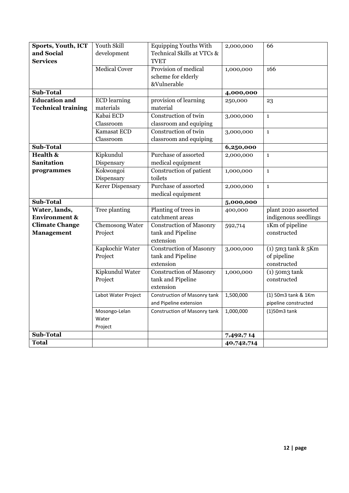| Sports, Youth, ICT        | Youth Skill          | <b>Equipping Youths With</b>   | 2,000,000  | 66                   |
|---------------------------|----------------------|--------------------------------|------------|----------------------|
| and Social                | development          | Technical Skills at VTCs &     |            |                      |
| <b>Services</b>           |                      | <b>TVET</b>                    |            |                      |
|                           | <b>Medical Cover</b> | Provision of medical           | 1,000,000  | 166                  |
|                           |                      | scheme for elderly             |            |                      |
|                           |                      | &Vulnerable                    |            |                      |
| <b>Sub-Total</b>          |                      |                                | 4,000,000  |                      |
| <b>Education and</b>      | <b>ECD</b> learning  | provision of learning          | 250,000    | 23                   |
| <b>Technical training</b> | materials            | material                       |            |                      |
|                           | Kabai ECD            | Construction of twin           | 3,000,000  | $\mathbf{1}$         |
|                           | Classroom            | classroom and equiping         |            |                      |
|                           | Kamasat ECD          | Construction of twin           | 3,000,000  | $\mathbf{1}$         |
|                           | Classroom            | classroom and equiping         |            |                      |
| Sub-Total                 |                      |                                | 6,250,000  |                      |
| Health &                  | Kipkundul            | Purchase of assorted           | 2,000,000  | $\mathbf{1}$         |
| <b>Sanitation</b>         | Dispensary           | medical equipment              |            |                      |
| programmes                | Kokwongoi            | Construction of patient        | 1,000,000  | $\mathbf{1}$         |
|                           | Dispensary           | toilets                        |            |                      |
|                           | Kerer Dispensary     | Purchase of assorted           | 2,000,000  | $\mathbf{1}$         |
|                           |                      | medical equipment              |            |                      |
| Sub-Total                 |                      |                                | 5,000,000  |                      |
| Water, lands,             | Tree planting        | Planting of trees in           | 400,000    | plant 2020 assorted  |
| <b>Environment &amp;</b>  |                      | catchment areas                |            | indigenous seedlings |
| <b>Climate Change</b>     | Chemosong Water      | <b>Construction of Masonry</b> | 592,714    | 1Km of pipeline      |
| <b>Management</b>         | Project              | tank and Pipeline              |            | constructed          |
|                           |                      | extension                      |            |                      |
|                           | Kapkochir Water      | <b>Construction of Masonry</b> | 3,000,000  | $(1)$ 5m3 tank & 5Km |
|                           | Project              | tank and Pipeline              |            | of pipeline          |
|                           |                      | extension                      |            | constructed          |
|                           | Kipkundul Water      | <b>Construction of Masonry</b> | 1,000,000  | $(1)$ 50m3 tank      |
|                           | Project              | tank and Pipeline              |            | constructed          |
|                           |                      | extension                      |            |                      |
|                           | Labot Water Project  | Construction of Masonry tank   | 1,500,000  | (1) 50m3 tank & 1Km  |
|                           |                      | and Pipeline extension         |            | pipeline constructed |
|                           | Mosongo-Lelan        | Construction of Masonry tank   | 1,000,000  | $(1)$ 50m3 tank      |
|                           | Water                |                                |            |                      |
|                           | Project              |                                |            |                      |
| Sub-Total                 |                      |                                | 7,492,714  |                      |
| <b>Total</b>              |                      |                                | 40,742,714 |                      |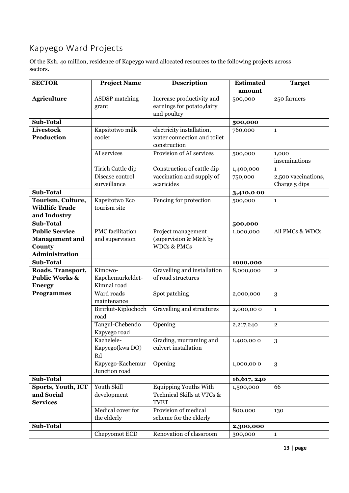## Kapyego Ward Projects

Of the Ksh. 4o million, residence of Kapeygo ward allocated resources to the following projects across sectors.

| <b>SECTOR</b>             | <b>Project Name</b>     | <b>Description</b>           | <b>Estimated</b> | <b>Target</b>       |
|---------------------------|-------------------------|------------------------------|------------------|---------------------|
|                           |                         |                              | amount           |                     |
| <b>Agriculture</b>        | <b>ASDSP</b> matching   | Increase productivity and    | 500,000          | 250 farmers         |
|                           | grant                   | earnings for potato, dairy   |                  |                     |
|                           |                         | and poultry                  |                  |                     |
| <b>Sub-Total</b>          |                         |                              | 500,000          |                     |
| Livestock                 | Kapsitotwo milk         | electricity installation,    | 760,000          | $\mathbf{1}$        |
| <b>Production</b>         | cooler                  | water connection and toilet  |                  |                     |
|                           |                         | construction                 |                  |                     |
|                           | AI services             | Provision of AI services     | 500,000          | 1,000               |
|                           |                         |                              |                  | inseminations       |
|                           | Tirich Cattle dip       | Construction of cattle dip   | 1,400,000        | $\mathbf{1}$        |
|                           | Disease control         | vaccination and supply of    | 750,000          | 2,500 vaccinations, |
|                           | surveillance            | acaricides                   |                  | Charge 5 dips       |
| <b>Sub-Total</b>          |                         |                              | 3,410,0 00       |                     |
| Tourism, Culture,         | Kapsitotwo Eco          | Fencing for protection       | 500,000          | $\mathbf{1}$        |
| <b>Wildlife Trade</b>     | tourism site            |                              |                  |                     |
| and Industry              |                         |                              |                  |                     |
| <b>Sub-Total</b>          |                         |                              | 500,000          |                     |
| <b>Public Service</b>     | <b>PMC</b> facilitation | Project management           | 1,000,000        | All PMCs & WDCs     |
| <b>Management</b> and     | and supervision         | (supervision & M&E by        |                  |                     |
| County                    |                         | <b>WDCs &amp; PMCs</b>       |                  |                     |
| <b>Administration</b>     |                         |                              |                  |                     |
| <b>Sub-Total</b>          |                         |                              | 1000,000         |                     |
| Roads, Transport,         | Kimowo-                 | Gravelling and installation  | 8,000,000        | $\mathbf{2}$        |
| <b>Public Works &amp;</b> | Kapchemurkeldet-        | of road structures           |                  |                     |
| <b>Energy</b>             | Kimnai road             |                              |                  |                     |
| <b>Programmes</b>         | Ward roads              | Spot patching                | 2,000,000        | 3                   |
|                           | maintenance             |                              |                  |                     |
|                           | Birirkut-Kiplochoch     | Gravelling and structures    | 2,000,000        | $\mathbf{1}$        |
|                           | road                    |                              |                  |                     |
|                           | Tangul-Chebendo         | Opening                      | 2,217,240        | $\mathbf{2}$        |
|                           | Kapyego road            |                              |                  |                     |
|                           | Kachelele-              | Grading, murraming and       | 1,400,000        | $\sqrt{3}$          |
|                           | Kapyego(kwa DO)         | culvert installation         |                  |                     |
|                           | Rd                      |                              |                  |                     |
|                           | Kapyego-Kachemur        | Opening                      | 1,000,000        | 3                   |
|                           | Junction road           |                              |                  |                     |
| <b>Sub-Total</b>          |                         |                              | 16,617, 240      |                     |
| Sports, Youth, ICT        | Youth Skill             | <b>Equipping Youths With</b> | 1,500,000        | 66                  |
| and Social                | development             | Technical Skills at VTCs &   |                  |                     |
| <b>Services</b>           |                         | <b>TVET</b>                  |                  |                     |
|                           | Medical cover for       | Provision of medical         | 800,000          | 130                 |
|                           | the elderly             | scheme for the elderly       |                  |                     |
| <b>Sub-Total</b>          |                         |                              | 2,300,000        |                     |
|                           | Chepyomot ECD           | Renovation of classroom      | 300,000          | $\mathbf{1}$        |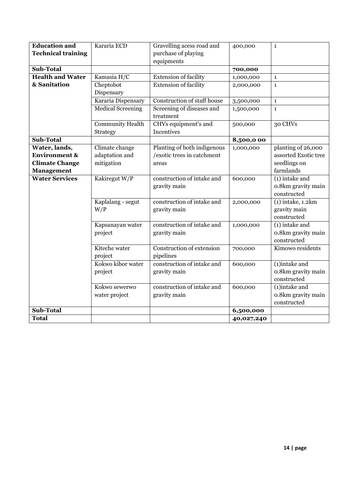| <b>Education and</b>      | Kararia ECD              | Gravelling acess road and              | 400,000    | $\mathbf{1}$                      |
|---------------------------|--------------------------|----------------------------------------|------------|-----------------------------------|
| <b>Technical training</b> |                          | purchase of playing                    |            |                                   |
|                           |                          | equipments                             |            |                                   |
| Sub-Total                 |                          |                                        | 700,000    |                                   |
| <b>Health and Water</b>   | Kamasia H/C              | Extension of facility                  | 1,000,000  | $\mathbf{1}$                      |
| & Sanitation              | Cheptobot                | <b>Extension of facility</b>           | 2,000,000  | $\mathbf{1}$                      |
|                           | Dispensary               |                                        |            |                                   |
|                           | Kararia Dispensary       | Construction of staff house            | 3,500,000  | $\mathbf{1}$                      |
|                           | <b>Medical Screening</b> | Screening of diseases and<br>treatment | 1,500,000  | $\mathbf{1}$                      |
|                           | <b>Community Health</b>  | CHVs equipment's and                   | 500,000    | 30 CHVs                           |
|                           | Strategy                 | Incentives                             |            |                                   |
| <b>Sub-Total</b>          |                          |                                        | 8,500,000  |                                   |
| Water, lands,             | Climate change           | Planting of both indigenous            | 1,000,000  | planting of 26,000                |
| <b>Environment &amp;</b>  | adaptation and           | /exotic trees in catchment             |            | assorted Exotic tree              |
| <b>Climate Change</b>     | mitigation               | areas                                  |            | seedlings on                      |
| <b>Management</b>         |                          |                                        |            | farmlands                         |
| <b>Water Services</b>     | Kakiregut W/P            | construction of intake and             | 600,000    | (1) intake and                    |
|                           |                          | gravity main                           |            | o.8km gravity main                |
|                           |                          |                                        |            | constructed                       |
|                           | Kaplalang - segut        | construction of intake and             | 2,000,000  | $(1)$ intake, $1.2km$             |
|                           | W/P                      | gravity main                           |            | gravity main                      |
|                           |                          |                                        |            | constructed                       |
|                           | Kapsanayan water         | construction of intake and             | 1,000,000  | $\overline{(1)}$ intake and       |
|                           | project                  | gravity main                           |            | o.8km gravity main<br>constructed |
|                           | Kiteche water            | Construction of extension              |            | Kimowo residents                  |
|                           | project                  | pipelines                              | 700,000    |                                   |
|                           | Kokwo kibor water        | construction of intake and             | 600,000    | $\sqrt{1}$ intake and             |
|                           | project                  | gravity main                           |            | o.8km gravity main                |
|                           |                          |                                        |            | constructed                       |
|                           | Kokwo sewerwo            | construction of intake and             | 600,000    | $(i)$ intake and                  |
|                           | water project            | gravity main                           |            | o.8km gravity main                |
|                           |                          |                                        |            | constructed                       |
| Sub-Total                 |                          |                                        | 6,500,000  |                                   |
| <b>Total</b>              |                          |                                        | 40,027,240 |                                   |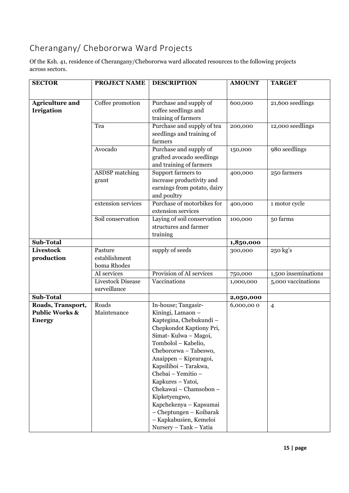## Cherangany/ Chebororwa Ward Projects

Of the Ksh. 41, residence of Cherangany/Chebororwa ward allocated resources to the following projects across sectors.

| <b>SECTOR</b>                               | <b>PROJECT NAME</b>                     | <b>DESCRIPTION</b>                                                                                                                               | <b>AMOUNT</b> | <b>TARGET</b>       |
|---------------------------------------------|-----------------------------------------|--------------------------------------------------------------------------------------------------------------------------------------------------|---------------|---------------------|
|                                             |                                         |                                                                                                                                                  |               |                     |
| <b>Agriculture and</b><br><b>Irrigation</b> | Coffee promotion                        | Purchase and supply of<br>coffee seedlings and<br>training of farmers                                                                            | 600,000       | 21,600 seedlings    |
|                                             | Tea                                     | Purchase and supply of tea<br>seedlings and training of<br>farmers                                                                               | 200,000       | 12,000 seedlings    |
|                                             | Avocado                                 | Purchase and supply of<br>grafted avocado seedlings<br>and training of farmers                                                                   | 150,000       | 980 seedlings       |
|                                             | <b>ASDSP</b> matching<br>grant          | Support farmers to<br>increase productivity and<br>earnings from potato, dairy<br>and poultry                                                    | 400,000       | 250 farmers         |
|                                             | extension services                      | Purchase of motorbikes for<br>extension services                                                                                                 | 400,000       | 1 motor cycle       |
|                                             | Soil conservation                       | Laying of soil conservation<br>structures and farmer<br>training                                                                                 | 100,000       | 50 farms            |
| Sub-Total                                   |                                         |                                                                                                                                                  | 1,850,000     |                     |
| Livestock<br>production                     | Pasture<br>establishment<br>boma Rhodes | supply of seeds                                                                                                                                  | 300,000       | 250 kg's            |
|                                             | AI services                             | Provision of AI services                                                                                                                         | 750,000       | 1,500 inseminations |
|                                             | Livestock Disease<br>surveillance       | Vaccinations                                                                                                                                     | 1,000,000     | 5,000 vaccinations  |
| <b>Sub-Total</b>                            |                                         |                                                                                                                                                  | 2,050,000     |                     |
| Roads, Transport,                           | Roads                                   | In-house; Tangasir-                                                                                                                              | 6,000,000     | $\overline{4}$      |
| <b>Public Works &amp;</b><br><b>Energy</b>  | Maintenance                             | Kiningi, Lamaon -<br>Kaptegina, Chebukundi -<br>Chepkondot Kaptiony Pri,<br>Simat-Kulwa - Magoi,<br>Tombolol - Kabelio,                          |               |                     |
|                                             |                                         | Chebororwa - Tabeswo,<br>Anaippen – Kipraragoi,<br>Kapsiliboi - Tarakwa,<br>Chebai - Yemitio -<br>Kapkures - Yatoi,                              |               |                     |
|                                             |                                         | Chekawai - Chamsobon -<br>Kipketyengwo,<br>Kapchekenya - Kapsumai<br>- Cheptungen - Koibarak<br>- Kapkabusien, Kemeloi<br>Nursery - Tank - Yatia |               |                     |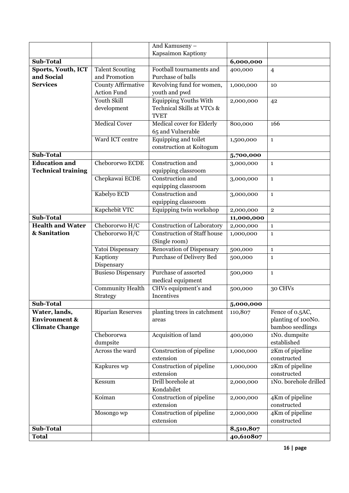|                           |                           | And Kamuseny -                                 |                         |                       |
|---------------------------|---------------------------|------------------------------------------------|-------------------------|-----------------------|
|                           |                           | Kapsaimon Kaptiony                             |                         |                       |
| Sub-Total                 |                           |                                                | 6,000,000               |                       |
| Sports, Youth, ICT        | <b>Talent Scouting</b>    | Football tournaments and                       | 400,000                 | $\overline{4}$        |
| and Social                | and Promotion             | Purchase of balls                              |                         |                       |
| <b>Services</b>           | <b>County Affirmative</b> | Revolving fund for women,                      | 1,000,000               | 10                    |
|                           | <b>Action Fund</b>        | youth and pwd                                  |                         |                       |
|                           | <b>Youth Skill</b>        | Equipping Youths With                          | 2,000,000               | 42                    |
|                           | development               | Technical Skills at VTCs &                     |                         |                       |
|                           |                           | <b>TVET</b>                                    |                         |                       |
|                           | <b>Medical Cover</b>      | <b>Medical cover for Elderly</b>               | 800,000                 | 166                   |
|                           |                           | 65 and Vulnerable                              |                         |                       |
|                           | Ward ICT centre           | Equipping and toilet                           | 1,500,000               | $\mathbf 1$           |
|                           |                           | construction at Koitogum                       |                         |                       |
| <b>Sub-Total</b>          |                           |                                                | 5,700,000               |                       |
| <b>Education and</b>      | Chebororwo ECDE           | Construction and                               | 3,000,000               | $\mathbf{1}$          |
| <b>Technical training</b> |                           | equipping classroom                            |                         |                       |
|                           | Chepkawai ECDE            | Construction and                               | 3,000,000               | $\mathbf{1}$          |
|                           |                           | equipping classroom<br>Construction and        |                         |                       |
|                           | Kabelyo ECD               |                                                | 3,000,000               | $\mathbf{1}$          |
|                           | Kapchebit VTC             | equipping classroom<br>Equipping twin workshop |                         |                       |
| <b>Sub-Total</b>          |                           |                                                | 2,000,000               | $\mathbf 2$           |
| <b>Health and Water</b>   | Chebororwo H/C            | <b>Construction of Laboratory</b>              | 11,000,000<br>2,000,000 | $\mathbf{1}$          |
| & Sanitation              | Chebororwo H/C            | <b>Construction of Staff house</b>             | 1,000,000               | $\mathbf{1}$          |
|                           |                           | (Single room)                                  |                         |                       |
|                           | Yatoi Dispensary          | <b>Renovation of Dispensary</b>                | 500,000                 | $\mathbf 1$           |
|                           | Kaptiony                  | <b>Purchase of Delivery Bed</b>                | 500,000                 | $\mathbf{1}$          |
|                           | Dispensary                |                                                |                         |                       |
|                           | <b>Busieso Dispensary</b> | Purchase of assorted                           | 500,000                 | $\mathbf{1}$          |
|                           |                           | medical equipment                              |                         |                       |
|                           | <b>Community Health</b>   | CHVs equipment's and                           | 500,000                 | 30 CHVs               |
|                           | Strategy                  | Incentives                                     |                         |                       |
| <b>Sub-Total</b>          |                           |                                                | 5,000,000               |                       |
| Water, lands,             | <b>Riparian Reserves</b>  | planting trees in catchment                    | 110,807                 | Fence of 0.5AC,       |
| <b>Environment &amp;</b>  |                           | areas                                          |                         | planting of 100No.    |
| <b>Climate Change</b>     |                           |                                                |                         | bamboo seedlings      |
|                           | Chebororwa                | Acquisition of land                            | 400,000                 | 1No. dumpsite         |
|                           | dumpsite                  |                                                |                         | established           |
|                           | Across the ward           | Construction of pipeline                       | 1,000,000               | 2Km of pipeline       |
|                           |                           | extension                                      |                         | constructed           |
|                           | Kapkures wp               | Construction of pipeline                       | 1,000,000               | 2Km of pipeline       |
|                           |                           | extension                                      |                         | constructed           |
|                           | Kessum                    | Drill borehole at<br>Kondabilet                | 2,000,000               | 1No. borehole drilled |
|                           | Koiman                    | Construction of pipeline                       | 2,000,000               | 4Km of pipeline       |
|                           |                           | extension                                      |                         | constructed           |
|                           | Mosongo wp                | Construction of pipeline                       | 2,000,000               | 4Km of pipeline       |
|                           |                           | extension                                      |                         | constructed           |
| Sub-Total                 |                           |                                                | 8,510,807               |                       |
| <b>Total</b>              |                           |                                                | 40,610807               |                       |